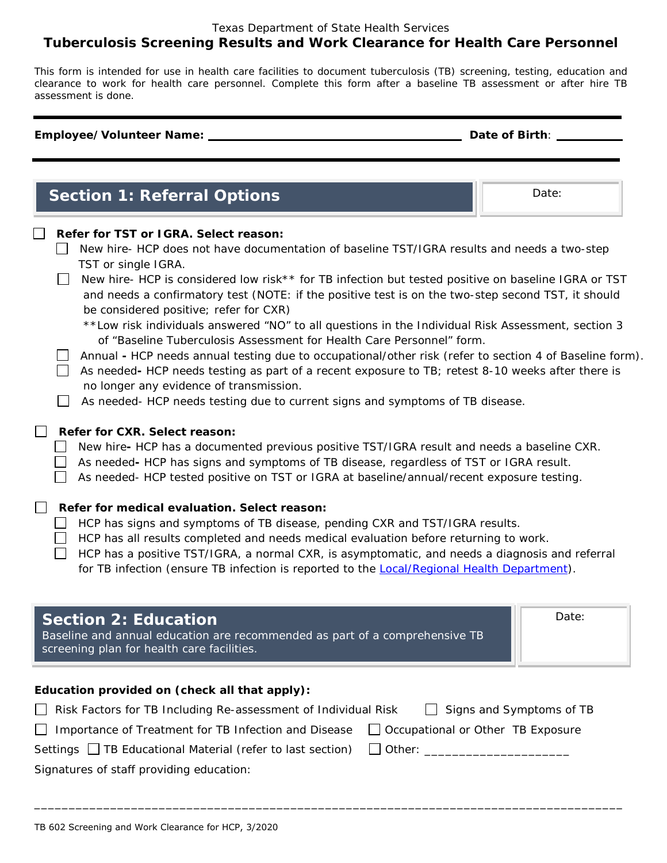### Texas Department of State Health Services **Tuberculosis Screening Results and Work Clearance for Health Care Personnel**

*This form is intended for use in health care facilities to document tuberculosis (TB) screening, testing, education and clearance to work for health care personnel. Complete this form after a baseline TB assessment or after hire TB assessment is done.*

#### **Employee/Volunteer Name: Date of Birth**:

**Section 1: Referral Options Date:** Date:

| Refer for TST or IGRA. Select reason: |  |
|---------------------------------------|--|
|---------------------------------------|--|

- New hire- HCP does not have documentation of baseline TST/IGRA results and needs a two-step TST or single IGRA.
- New hire- HCP is considered low risk\*\* for TB infection but tested positive on baseline IGRA or TST and needs a confirmatory test (NOTE: if the positive test is on the two-step second TST, it should be considered positive; refer for CXR)
	- *\*\*Low risk individuals answered "NO" to all questions in the Individual Risk Assessment, section 3 of "Baseline Tuberculosis Assessment for Health Care Personnel" form.*
- Annual HCP needs annual testing due to occupational/other risk (refer to section 4 of *Baseline* form).
- As neededHCP needs testing as part of a recent exposure to TB; retest 8-10 weeks after there is no longer any evidence of transmission.
- $\Box$  As needed- HCP needs testing due to current signs and symptoms of TB disease.

#### **Refer for CXR. Select reason:**

New hire**-** HCP has a documented previous positive TST/IGRA result and needs a baseline CXR.

- As neededHCP has signs and symptoms of TB disease, regardless of TST or IGRA result.
- As needed- HCP tested positive on TST or IGRA at baseline/annual/recent exposure testing.

## **Refer for medical evaluation. Select reason:**

- $\Box$  HCP has signs and symptoms of TB disease, pending CXR and TST/IGRA results.
- $\Box$  HCP has all results completed and needs medical evaluation before returning to work.
- $\Box$  HCP has a positive TST/IGRA, a normal CXR, is asymptomatic, and needs a diagnosis and referral

for TB infection (ensure TB infection is reported to the [Local/Regional Health Department\)](https://www.dshs.state.tx.us/regions/default.shtm).

| <b>Section 2: Education</b><br>Baseline and annual education are recommended as part of a comprehensive TB<br>screening plan for health care facilities. | Date: |
|----------------------------------------------------------------------------------------------------------------------------------------------------------|-------|
|----------------------------------------------------------------------------------------------------------------------------------------------------------|-------|

# **Education provided on (check all that apply):**

| Risk Factors for TB Including Re-assessment of Individual Risk                                       | $\Box$ Signs and Symptoms of TB |
|------------------------------------------------------------------------------------------------------|---------------------------------|
| $\Box$ Importance of Treatment for TB Infection and Disease $\Box$ Occupational or Other TB Exposure |                                 |
| Settings □ TB Educational Material (refer to last section) □ Other: ____                             |                                 |
| Signatures of staff providing education:                                                             |                                 |

*\_\_\_\_\_\_\_\_\_\_\_\_\_\_\_\_\_\_\_\_\_\_\_\_\_\_\_\_\_\_\_\_\_\_\_\_\_\_\_\_\_\_\_\_\_\_\_\_\_\_\_\_\_\_\_\_\_\_\_\_\_\_\_\_\_\_\_\_\_\_\_\_\_\_\_\_\_\_\_\_\_\_\_\_\_*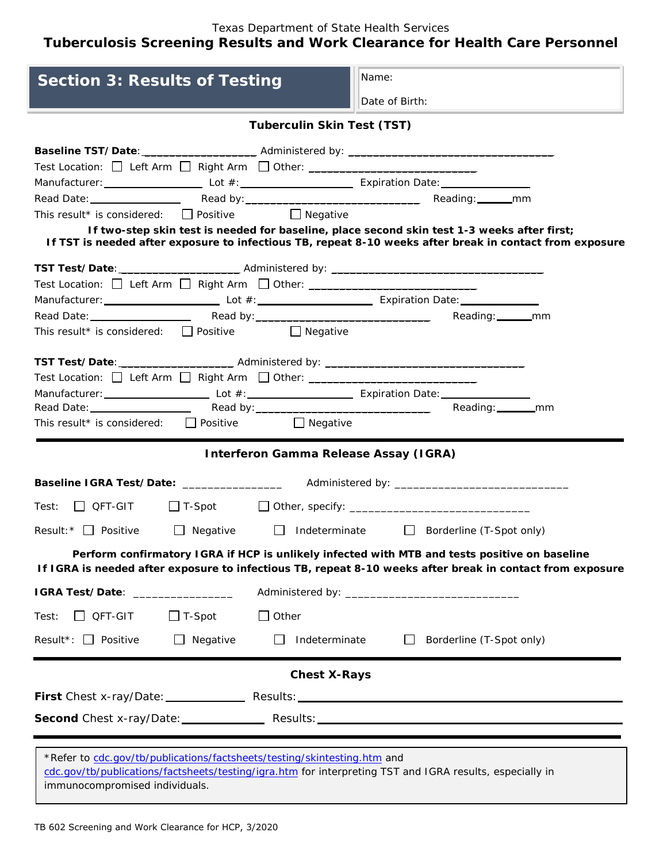Texas Department of State Health Services **Tuberculosis Screening Results and Work Clearance for Health Care Personnel** 

| <b>Section 3: Results of Testing</b>                                                                                                                                                                                                                                        |                        |                                                                                               | Name:          |                                               |                                                                                                          |
|-----------------------------------------------------------------------------------------------------------------------------------------------------------------------------------------------------------------------------------------------------------------------------|------------------------|-----------------------------------------------------------------------------------------------|----------------|-----------------------------------------------|----------------------------------------------------------------------------------------------------------|
|                                                                                                                                                                                                                                                                             |                        |                                                                                               | Date of Birth: |                                               |                                                                                                          |
|                                                                                                                                                                                                                                                                             |                        | <b>Tuberculin Skin Test (TST)</b>                                                             |                |                                               |                                                                                                          |
| Test Location: □ Left Arm □ Right Arm □ Other: _________________________________<br>Manufacturer: Lot #: Lot #: Lot #: Expiration Date: Lot #: Lot #: Lot #: Lot #: Lot #: Lot #: Lot #: Lot #: Lo<br>This result* is considered: $\Box$ Positive $\Box$ Negative           |                        |                                                                                               |                |                                               |                                                                                                          |
|                                                                                                                                                                                                                                                                             |                        | If two-step skin test is needed for baseline, place second skin test 1-3 weeks after first;   |                |                                               | If TST is needed after exposure to infectious TB, repeat 8-10 weeks after break in contact from exposure |
| Test Location: $\Box$ Left Arm $\Box$ Right Arm $\Box$ Other: ________________________<br>Manufacturer: Lot #: Lot #: Lot #: Expiration Date: Letter Manufacturer: Lotter Manufacturer: Lotter Manufacturer:<br>This result* is considered: $\Box$ Positive $\Box$ Negative |                        |                                                                                               |                | Reading: ________mm                           |                                                                                                          |
| Test Location: □ Left Arm □ Right Arm □ Other: ________________________________<br>Manufacturer: Lot #: Lot #: Expiration Date: Lot #: Lot #: Lot #: Lot #: Lot #: Lot #: Lot #: Lot #: Lot #: Lo<br>This result* is considered: $\Box$ Positive $\Box$ Negative            |                        |                                                                                               |                |                                               |                                                                                                          |
|                                                                                                                                                                                                                                                                             |                        | <b>Interferon Gamma Release Assay (IGRA)</b>                                                  |                |                                               |                                                                                                          |
| Baseline IGRA Test/Date: ____________________ Administered by: __________________                                                                                                                                                                                           |                        |                                                                                               |                |                                               |                                                                                                          |
| $Test: \Box$ QFT-GIT                                                                                                                                                                                                                                                        |                        |                                                                                               |                |                                               |                                                                                                          |
| Result: $\overline{\phantom{a}}$ Positive                                                                                                                                                                                                                                   | $\Box$ Negative $\Box$ |                                                                                               |                | Indeterminate $\Box$ Borderline (T-Spot only) |                                                                                                          |
| If IGRA is needed after exposure to infectious TB, repeat 8-10 weeks after break in contact from exposure                                                                                                                                                                   |                        | Perform confirmatory IGRA if HCP is unlikely infected with MTB and tests positive on baseline |                |                                               |                                                                                                          |
| IGRA Test/Date: ______________                                                                                                                                                                                                                                              |                        |                                                                                               |                |                                               |                                                                                                          |
| $\Box$ QFT-GIT<br>Test:                                                                                                                                                                                                                                                     | $\Box$ T-Spot          | $\Box$ Other                                                                                  |                |                                               |                                                                                                          |
| Result*: $\Box$ Positive                                                                                                                                                                                                                                                    | $\Box$ Negative        | Indeterminate<br>$\perp$                                                                      |                | Borderline (T-Spot only)                      |                                                                                                          |
|                                                                                                                                                                                                                                                                             |                        | <b>Chest X-Rays</b>                                                                           |                |                                               |                                                                                                          |
| First Chest x-ray/Date: Results: Results:                                                                                                                                                                                                                                   |                        |                                                                                               |                |                                               |                                                                                                          |
|                                                                                                                                                                                                                                                                             |                        |                                                                                               |                |                                               |                                                                                                          |
| *Refer to cdc.gov/tb/publications/factsheets/testing/skintesting.htm and<br>cdc.gov/tb/publications/factsheets/testing/igra.htm for interpreting TST and IGRA results, especially in<br>immunocompromised individuals.                                                      |                        |                                                                                               |                |                                               |                                                                                                          |